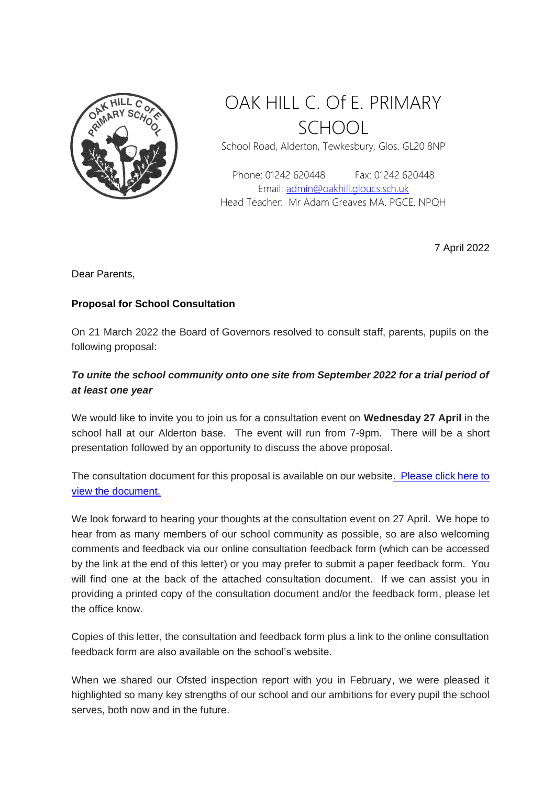

## OAK HILL C. Of E. PRIMARY SCHOOL

School Road, Alderton, Tewkesbury, Glos. GL20 8NP

Phone: 01242 620448 Fax: 01242 620448 Email: [admin@oakhill.gloucs.sch.uk](mailto:admin@oakhill.gloucs.sch.uk) Head Teacher: Mr Adam Greaves MA. PGCE. NPQH

7 April 2022

Dear Parents,

## **Proposal for School Consultation**

On 21 March 2022 the Board of Governors resolved to consult staff, parents, pupils on the following proposal:

## *To unite the school community onto one site from September 2022 for a trial period of at least one year*

We would like to invite you to join us for a consultation event on **Wednesday 27 April** in the school hall at our Alderton base. The event will run from 7-9pm. There will be a short presentation followed by an opportunity to discuss the above proposal.

The consultation document for this proposal is available on our websit[e. Please click here to](http://www.oakhill.gloucs.sch.uk/one_site_consultation/one_site_consultation.html)  [view the document.](http://www.oakhill.gloucs.sch.uk/one_site_consultation/one_site_consultation.html)

We look forward to hearing your thoughts at the consultation event on 27 April. We hope to hear from as many members of our school community as possible, so are also welcoming comments and feedback via our online consultation feedback form (which can be accessed by the link at the end of this letter) or you may prefer to submit a paper feedback form. You will find one at the back of the attached consultation document. If we can assist you in providing a printed copy of the consultation document and/or the feedback form, please let the office know.

Copies of this letter, the consultation and feedback form plus a link to the online consultation feedback form are also available on the school's website.

When we shared our Ofsted inspection report with you in February, we were pleased it highlighted so many key strengths of our school and our ambitions for every pupil the school serves, both now and in the future.